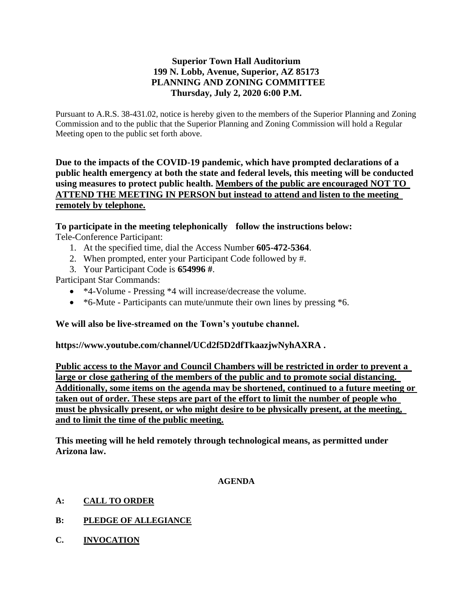# **Superior Town Hall Auditorium 199 N. Lobb, Avenue, Superior, AZ 85173 PLANNING AND ZONING COMMITTEE Thursday, July 2, 2020 6:00 P.M.**

Pursuant to A.R.S. 38-431.02, notice is hereby given to the members of the Superior Planning and Zoning Commission and to the public that the Superior Planning and Zoning Commission will hold a Regular Meeting open to the public set forth above.

**Due to the impacts of the COVID-19 pandemic, which have prompted declarations of a public health emergency at both the state and federal levels, this meeting will be conducted using measures to protect public health. Members of the public are encouraged NOT TO ATTEND THE MEETING IN PERSON but instead to attend and listen to the meeting remotely by telephone.**

**To participate in the meeting telephonically follow the instructions below:** Tele-Conference Participant:

- 1. At the specified time, dial the Access Number **605-472-5364**.
- 2. When prompted, enter your Participant Code followed by #.
- 3. Your Participant Code is **654996 #**.

Participant Star Commands:

- \*4-Volume Pressing \*4 will increase/decrease the volume.
- \*6-Mute Participants can mute/unmute their own lines by pressing \*6.

## **We will also be live-streamed on the Town's youtube channel.**

**https://www.youtube.com/channel/UCd2f5D2dfTkaazjwNyhAXRA .** 

**Public access to the Mayor and Council Chambers will be restricted in order to prevent a large or close gathering of the members of the public and to promote social distancing. Additionally, some items on the agenda may be shortened, continued to a future meeting or taken out of order. These steps are part of the effort to limit the number of people who must be physically present, or who might desire to be physically present, at the meeting, and to limit the time of the public meeting.**

**This meeting will he held remotely through technological means, as permitted under Arizona law.**

#### **AGENDA**

- **A: CALL TO ORDER**
- **B: PLEDGE OF ALLEGIANCE**
- **C. INVOCATION**